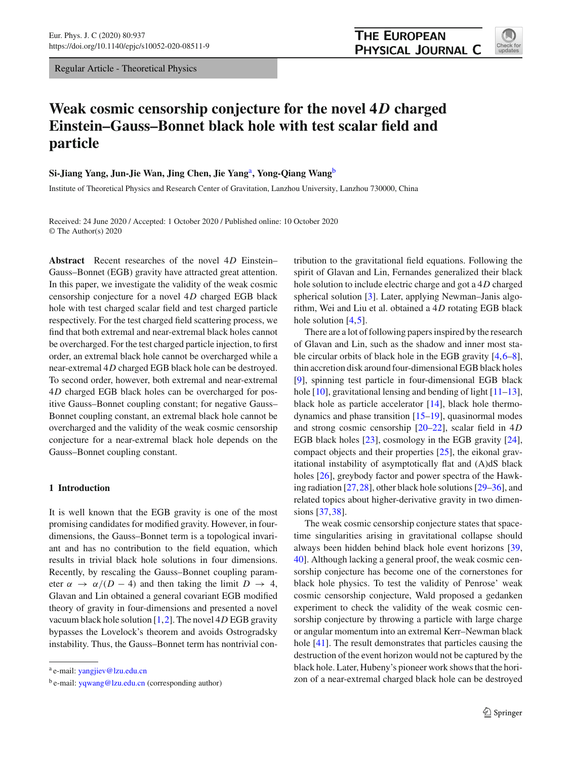Regular Article - Theoretical Physics



# **Weak cosmic censorship conjecture for the novel 4***D* **charged Einstein–Gauss–Bonnet black hole with test scalar field and particle**

**Si-Jiang Yang, Jun-Jie Wan, Jing Chen, Jie Yang**a**, Yong-Qiang Wang**<sup>b</sup>

Institute of Theoretical Physics and Research Center of Gravitation, Lanzhou University, Lanzhou 730000, China

Received: 24 June 2020 / Accepted: 1 October 2020 / Published online: 10 October 2020 © The Author(s) 2020

**Abstract** Recent researches of the novel 4*D* Einstein– Gauss–Bonnet (EGB) gravity have attracted great attention. In this paper, we investigate the validity of the weak cosmic censorship conjecture for a novel 4*D* charged EGB black hole with test charged scalar field and test charged particle respectively. For the test charged field scattering process, we find that both extremal and near-extremal black holes cannot be overcharged. For the test charged particle injection, to first order, an extremal black hole cannot be overcharged while a near-extremal 4*D* charged EGB black hole can be destroyed. To second order, however, both extremal and near-extremal 4*D* charged EGB black holes can be overcharged for positive Gauss–Bonnet coupling constant; for negative Gauss– Bonnet coupling constant, an extremal black hole cannot be overcharged and the validity of the weak cosmic censorship conjecture for a near-extremal black hole depends on the Gauss–Bonnet coupling constant.

## **1 Introduction**

It is well known that the EGB gravity is one of the most promising candidates for modified gravity. However, in fourdimensions, the Gauss–Bonnet term is a topological invariant and has no contribution to the field equation, which results in trivial black hole solutions in four dimensions. Recently, by rescaling the Gauss–Bonnet coupling parameter  $\alpha \rightarrow \alpha/(D-4)$  and then taking the limit  $D \rightarrow 4$ , Glavan and Lin obtained a general covariant EGB modified theory of gravity in four-dimensions and presented a novel vacuum black hole solution [\[1](#page-8-0)[,2](#page-8-1)]. The novel 4*D* EGB gravity bypasses the Lovelock's theorem and avoids Ostrogradsky instability. Thus, the Gauss–Bonnet term has nontrivial contribution to the gravitational field equations. Following the spirit of Glavan and Lin, Fernandes generalized their black hole solution to include electric charge and got a 4*D* charged spherical solution [\[3](#page-8-2)]. Later, applying Newman–Janis algorithm, Wei and Liu et al. obtained a 4*D* rotating EGB black hole solution [\[4,](#page-8-3)[5\]](#page-8-4).

There are a lot of following papers inspired by the research of Glavan and Lin, such as the shadow and inner most stable circular orbits of black hole in the EGB gravity [\[4](#page-8-3),[6](#page-8-5)[–8](#page-8-6)], thin accretion disk around four-dimensional EGB black holes [\[9](#page-8-7)], spinning test particle in four-dimensional EGB black hole [\[10\]](#page-8-8), gravitational lensing and bending of light [\[11](#page-8-9)[–13](#page-8-10)], black hole as particle accelerator [\[14\]](#page-8-11), black hole thermodynamics and phase transition [\[15](#page-8-12)[–19\]](#page-9-0), quasinormal modes and strong cosmic censorship [\[20](#page-9-1)[–22](#page-9-2)], scalar field in 4*D* EGB black holes [\[23\]](#page-9-3), cosmology in the EGB gravity [\[24](#page-9-4)], compact objects and their properties [\[25\]](#page-9-5), the eikonal gravitational instability of asymptotically flat and (A)dS black holes [\[26\]](#page-9-6), greybody factor and power spectra of the Hawking radiation [\[27](#page-9-7)[,28](#page-9-8)], other black hole solutions [\[29](#page-9-9)[–36](#page-9-10)], and related topics about higher-derivative gravity in two dimensions [\[37](#page-9-11),[38\]](#page-9-12).

The weak cosmic censorship conjecture states that spacetime singularities arising in gravitational collapse should always been hidden behind black hole event horizons [\[39,](#page-9-13) [40](#page-9-14)]. Although lacking a general proof, the weak cosmic censorship conjecture has become one of the cornerstones for black hole physics. To test the validity of Penrose' weak cosmic censorship conjecture, Wald proposed a gedanken experiment to check the validity of the weak cosmic censorship conjecture by throwing a particle with large charge or angular momentum into an extremal Kerr–Newman black hole [\[41](#page-9-15)]. The result demonstrates that particles causing the destruction of the event horizon would not be captured by the black hole. Later, Hubeny's pioneer work shows that the horizon of a near-extremal charged black hole can be destroyed

<sup>a</sup> e-mail: [yangjiev@lzu.edu.cn](mailto:yangjiev@lzu.edu.cn)

b e-mail: [yqwang@lzu.edu.cn](mailto:yqwang@lzu.edu.cn) (corresponding author)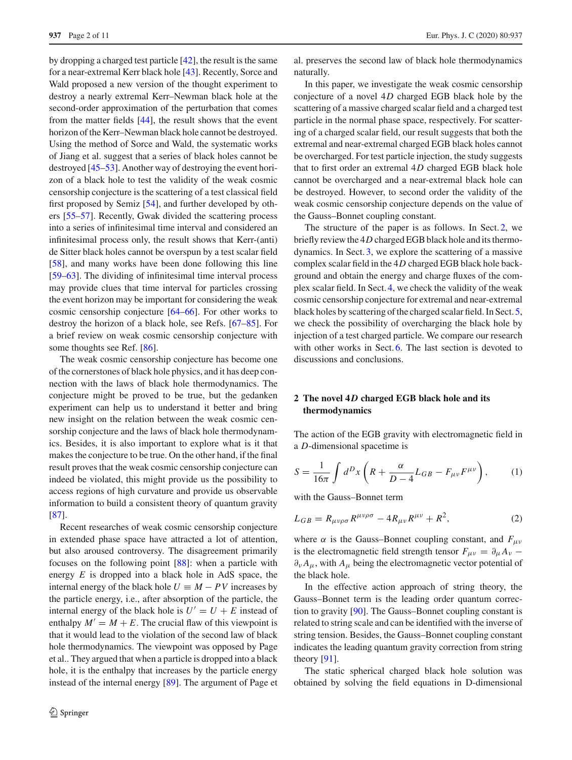by dropping a charged test particle [\[42\]](#page-9-16), the result is the same for a near-extremal Kerr black hole [\[43](#page-9-17)]. Recently, Sorce and Wald proposed a new version of the thought experiment to destroy a nearly extremal Kerr–Newman black hole at the second-order approximation of the perturbation that comes from the matter fields [\[44](#page-9-18)], the result shows that the event horizon of the Kerr–Newman black hole cannot be destroyed. Using the method of Sorce and Wald, the systematic works of Jiang et al. suggest that a series of black holes cannot be destroyed [\[45](#page-9-19)[–53\]](#page-9-20). Another way of destroying the event horizon of a black hole to test the validity of the weak cosmic censorship conjecture is the scattering of a test classical field first proposed by Semiz [\[54\]](#page-9-21), and further developed by others [\[55](#page-9-22)[–57\]](#page-9-23). Recently, Gwak divided the scattering process into a series of infinitesimal time interval and considered an infinitesimal process only, the result shows that Kerr-(anti) de Sitter black holes cannot be overspun by a test scalar field [\[58](#page-9-24)], and many works have been done following this line [\[59](#page-9-25)[–63](#page-10-0)]. The dividing of infinitesimal time interval process may provide clues that time interval for particles crossing the event horizon may be important for considering the weak cosmic censorship conjecture [\[64](#page-10-1)[–66\]](#page-10-2). For other works to destroy the horizon of a black hole, see Refs. [\[67](#page-10-3)[–85\]](#page-10-4). For a brief review on weak cosmic censorship conjecture with some thoughts see Ref. [\[86](#page-10-5)].

The weak cosmic censorship conjecture has become one of the cornerstones of black hole physics, and it has deep connection with the laws of black hole thermodynamics. The conjecture might be proved to be true, but the gedanken experiment can help us to understand it better and bring new insight on the relation between the weak cosmic censorship conjecture and the laws of black hole thermodynamics. Besides, it is also important to explore what is it that makes the conjecture to be true. On the other hand, if the final result proves that the weak cosmic censorship conjecture can indeed be violated, this might provide us the possibility to access regions of high curvature and provide us observable information to build a consistent theory of quantum gravity [\[87](#page-10-6)].

Recent researches of weak cosmic censorship conjecture in extended phase space have attracted a lot of attention, but also aroused controversy. The disagreement primarily focuses on the following point [\[88](#page-10-7)]: when a particle with energy *E* is dropped into a black hole in AdS space, the internal energy of the black hole  $U \equiv M - PV$  increases by the particle energy, i.e., after absorption of the particle, the internal energy of the black hole is  $U' = U + E$  instead of enthalpy  $M' = M + E$ . The crucial flaw of this viewpoint is that it would lead to the violation of the second law of black hole thermodynamics. The viewpoint was opposed by Page et al.. They argued that when a particle is dropped into a black hole, it is the enthalpy that increases by the particle energy instead of the internal energy [\[89](#page-10-8)]. The argument of Page et al. preserves the second law of black hole thermodynamics naturally.

In this paper, we investigate the weak cosmic censorship conjecture of a novel 4*D* charged EGB black hole by the scattering of a massive charged scalar field and a charged test particle in the normal phase space, respectively. For scattering of a charged scalar field, our result suggests that both the extremal and near-extremal charged EGB black holes cannot be overcharged. For test particle injection, the study suggests that to first order an extremal 4*D* charged EGB black hole cannot be overcharged and a near-extremal black hole can be destroyed. However, to second order the validity of the weak cosmic censorship conjecture depends on the value of the Gauss–Bonnet coupling constant.

The structure of the paper is as follows. In Sect. [2,](#page-1-0) we briefly review the 4*D* charged EGB black hole and its thermodynamics. In Sect. [3,](#page-2-0) we explore the scattering of a massive complex scalar field in the 4*D* charged EGB black hole background and obtain the energy and charge fluxes of the complex scalar field. In Sect. [4,](#page-4-0) we check the validity of the weak cosmic censorship conjecture for extremal and near-extremal black holes by scattering of the charged scalar field. In Sect. [5,](#page-5-0) we check the possibility of overcharging the black hole by injection of a test charged particle. We compare our research with other works in Sect. [6.](#page-7-0) The last section is devoted to discussions and conclusions.

## <span id="page-1-0"></span>**2 The novel 4***D* **charged EGB black hole and its thermodynamics**

The action of the EGB gravity with electromagnetic field in a *D*-dimensional spacetime is

$$
S = \frac{1}{16\pi} \int d^D x \left( R + \frac{\alpha}{D - 4} L_{GB} - F_{\mu\nu} F^{\mu\nu} \right), \tag{1}
$$

with the Gauss–Bonnet term

$$
L_{GB} = R_{\mu\nu\rho\sigma} R^{\mu\nu\rho\sigma} - 4R_{\mu\nu} R^{\mu\nu} + R^2,
$$
 (2)

where  $\alpha$  is the Gauss–Bonnet coupling constant, and  $F_{\mu\nu}$ is the electromagnetic field strength tensor  $F_{\mu\nu} = \partial_{\mu} A_{\nu}$  −  $\partial_{\nu}A_{\mu}$ , with  $A_{\mu}$  being the electromagnetic vector potential of the black hole.

In the effective action approach of string theory, the Gauss–Bonnet term is the leading order quantum correction to gravity [\[90\]](#page-10-9). The Gauss–Bonnet coupling constant is related to string scale and can be identified with the inverse of string tension. Besides, the Gauss–Bonnet coupling constant indicates the leading quantum gravity correction from string theory [\[91](#page-10-10)].

The static spherical charged black hole solution was obtained by solving the field equations in D-dimensional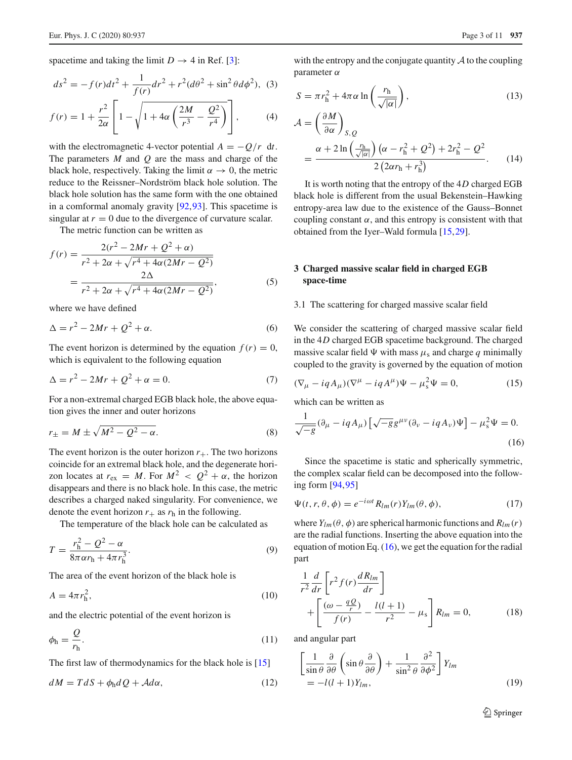spacetime and taking the limit  $D \rightarrow 4$  in Ref. [\[3\]](#page-8-2):

$$
ds^{2} = -f(r)dt^{2} + \frac{1}{f(r)}dr^{2} + r^{2}(d\theta^{2} + \sin^{2}\theta d\phi^{2}),
$$
 (3)

$$
f(r) = 1 + \frac{r^2}{2\alpha} \left[ 1 - \sqrt{1 + 4\alpha \left( \frac{2M}{r^3} - \frac{Q^2}{r^4} \right)} \right],
$$
 (4)

with the electromagnetic 4-vector potential  $A = -Q/r$  dt. The parameters *M* and *Q* are the mass and charge of the black hole, respectively. Taking the limit  $\alpha \rightarrow 0$ , the metric reduce to the Reissner–Nordström black hole solution. The black hole solution has the same form with the one obtained in a comformal anomaly gravity [\[92](#page-10-11)[,93](#page-10-12)]. This spacetime is singular at  $r = 0$  due to the divergence of curvature scalar.

The metric function can be written as

$$
f(r) = \frac{2(r^2 - 2Mr + Q^2 + \alpha)}{r^2 + 2\alpha + \sqrt{r^4 + 4\alpha(2Mr - Q^2)}}
$$
  
= 
$$
\frac{2\Delta}{r^2 + 2\alpha + \sqrt{r^4 + 4\alpha(2Mr - Q^2)}},
$$
(5)

where we have defined

$$
\Delta = r^2 - 2Mr + Q^2 + \alpha. \tag{6}
$$

The event horizon is determined by the equation  $f(r) = 0$ , which is equivalent to the following equation

$$
\Delta = r^2 - 2Mr + Q^2 + \alpha = 0. \tag{7}
$$

For a non-extremal charged EGB black hole, the above equation gives the inner and outer horizons

$$
r_{\pm} = M \pm \sqrt{M^2 - Q^2 - \alpha}.
$$
\n<sup>(8)</sup>

The event horizon is the outer horizon  $r_{+}$ . The two horizons coincide for an extremal black hole, and the degenerate horizon locates at  $r_{ex} = M$ . For  $M^2 < Q^2 + \alpha$ , the horizon disappears and there is no black hole. In this case, the metric describes a charged naked singularity. For convenience, we denote the event horizon  $r_+$  as  $r_h$  in the following.

The temperature of the black hole can be calculated as

$$
T = \frac{r_{\rm h}^2 - Q^2 - \alpha}{8\pi\alpha r_{\rm h} + 4\pi r_{\rm h}^3}.
$$
\n(9)

The area of the event horizon of the black hole is

$$
A = 4\pi r_{\rm h}^2,\tag{10}
$$

and the electric potential of the event horizon is

<span id="page-2-2"></span>
$$
\phi_{\rm h} = \frac{Q}{r_{\rm h}}.\tag{11}
$$

The first law of thermodynamics for the black hole is [\[15](#page-8-12)]

$$
dM = TdS + \phi_{\rm h} dQ + \mathcal{A} d\alpha, \qquad (12)
$$

with the entropy and the conjugate quantity *A* to the coupling parameter  $\alpha$ 

$$
S = \pi r_{\rm h}^2 + 4\pi \alpha \ln\left(\frac{r_{\rm h}}{\sqrt{|\alpha|}}\right),\tag{13}
$$

$$
\mathcal{A} = \left(\frac{\partial M}{\partial \alpha}\right)_{S,Q}
$$
  
= 
$$
\frac{\alpha + 2\ln\left(\frac{r_h}{\sqrt{|\alpha|}}\right)(\alpha - r_h^2 + Q^2) + 2r_h^2 - Q^2}{2(2\alpha r_h + r_h^3)}.
$$
 (14)

It is worth noting that the entropy of the 4*D* charged EGB black hole is different from the usual Bekenstein–Hawking entropy-area law due to the existence of the Gauss–Bonnet coupling constant  $\alpha$ , and this entropy is consistent with that obtained from the Iyer–Wald formula [\[15](#page-8-12)[,29](#page-9-9)].

## <span id="page-2-0"></span>**3 Charged massive scalar field in charged EGB space-time**

# 3.1 The scattering for charged massive scalar field

We consider the scattering of charged massive scalar field in the 4*D* charged EGB spacetime background. The charged massive scalar field  $\Psi$  with mass  $\mu_s$  and charge q minimally coupled to the gravity is governed by the equation of motion

$$
(\nabla_{\mu} - iqA_{\mu})(\nabla^{\mu} - iqA^{\mu})\Psi - \mu_s^2\Psi = 0, \qquad (15)
$$

which can be written as

<span id="page-2-1"></span>
$$
\frac{1}{\sqrt{-g}}(\partial_{\mu} - iqA_{\mu}) \left[ \sqrt{-g}g^{\mu\nu}(\partial_{\nu} - iqA_{\nu})\Psi \right] - \mu_s^2 \Psi = 0.
$$
\n(16)

Since the spacetime is static and spherically symmetric, the complex scalar field can be decomposed into the following form [\[94,](#page-10-13)[95\]](#page-10-14)

$$
\Psi(t, r, \theta, \phi) = e^{-i\omega t} R_{lm}(r) Y_{lm}(\theta, \phi), \qquad (17)
$$

where  $Y_{lm}(\theta, \phi)$  are spherical harmonic functions and  $R_{lm}(r)$ are the radial functions. Inserting the above equation into the equation of motion Eq.  $(16)$ , we get the equation for the radial part

$$
\frac{1}{r^2}\frac{d}{dr}\left[r^2f(r)\frac{dR_{lm}}{dr}\right] + \left[\frac{(\omega - \frac{qQ}{r})}{f(r)} - \frac{l(l+1)}{r^2} - \mu_s\right]R_{lm} = 0,
$$
\n(18)

and angular part

$$
\left[\frac{1}{\sin\theta} \frac{\partial}{\partial \theta} \left(\sin\theta \frac{\partial}{\partial \theta}\right) + \frac{1}{\sin^2\theta} \frac{\partial^2}{\partial \phi^2}\right] Y_{lm} = -l(l+1)Y_{lm},
$$
(19)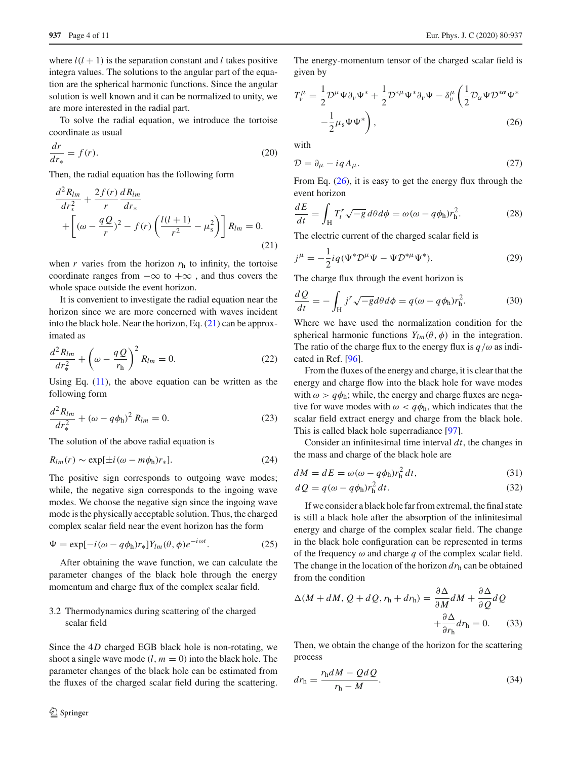where  $l(l + 1)$  is the separation constant and *l* takes positive integra values. The solutions to the angular part of the equation are the spherical harmonic functions. Since the angular solution is well known and it can be normalized to unity, we are more interested in the radial part.

To solve the radial equation, we introduce the tortoise coordinate as usual

$$
\frac{dr}{dr_*} = f(r). \tag{20}
$$

Then, the radial equation has the following form

<span id="page-3-0"></span>
$$
\frac{d^2 R_{lm}}{dr_*^2} + \frac{2f(r)}{r} \frac{dR_{lm}}{dr_*} + \left[ (\omega - \frac{qQ}{r})^2 - f(r) \left( \frac{l(l+1)}{r^2} - \mu_s^2 \right) \right] R_{lm} = 0.
$$
\n(21)

when  $r$  varies from the horizon  $r<sub>h</sub>$  to infinity, the tortoise coordinate ranges from  $-\infty$  to  $+\infty$ , and thus covers the whole space outside the event horizon.

It is convenient to investigate the radial equation near the horizon since we are more concerned with waves incident into the black hole. Near the horizon, Eq.  $(21)$  can be approximated as

$$
\frac{d^2R_{lm}}{dr_*^2} + \left(\omega - \frac{qQ}{r_h}\right)^2 R_{lm} = 0.
$$
 (22)

Using Eq.  $(11)$ , the above equation can be written as the following form

$$
\frac{d^2 R_{lm}}{dr_*^2} + (\omega - q \phi_h)^2 R_{lm} = 0.
$$
 (23)

The solution of the above radial equation is

$$
R_{lm}(r) \sim \exp[\pm i(\omega - m\phi_h)r_*].
$$
 (24)

The positive sign corresponds to outgoing wave modes; while, the negative sign corresponds to the ingoing wave modes. We choose the negative sign since the ingoing wave mode is the physically acceptable solution. Thus, the charged complex scalar field near the event horizon has the form

$$
\Psi = \exp[-i(\omega - q\phi_{\rm h})r_*]Y_{lm}(\theta, \phi)e^{-i\omega t}.
$$
\n(25)

After obtaining the wave function, we can calculate the parameter changes of the black hole through the energy momentum and charge flux of the complex scalar field.

## 3.2 Thermodynamics during scattering of the charged scalar field

Since the 4*D* charged EGB black hole is non-rotating, we shoot a single wave mode  $(l, m = 0)$  into the black hole. The parameter changes of the black hole can be estimated from the fluxes of the charged scalar field during the scattering.

The energy-momentum tensor of the charged scalar field is given by

<span id="page-3-1"></span>
$$
T_{\nu}^{\mu} = \frac{1}{2} \mathcal{D}^{\mu} \Psi \partial_{\nu} \Psi^* + \frac{1}{2} \mathcal{D}^{*\mu} \Psi^* \partial_{\nu} \Psi - \delta_{\nu}^{\mu} \left( \frac{1}{2} \mathcal{D}_{\alpha} \Psi \mathcal{D}^{*\alpha} \Psi^* - \frac{1}{2} \mu_s \Psi \Psi^* \right),
$$
\n(26)

with

$$
\mathcal{D} = \partial_{\mu} - iqA_{\mu}.\tag{27}
$$

From Eq. [\(26\)](#page-3-1), it is easy to get the energy flux through the event horizon

$$
\frac{dE}{dt} = \int_{\mathcal{H}} T_t^r \sqrt{-g} \, d\theta \, d\phi = \omega(\omega - q\phi_{\rm h}) r_{\rm h}^2. \tag{28}
$$

The electric current of the charged scalar field is

$$
j^{\mu} = -\frac{1}{2}iq(\Psi^* \mathcal{D}^{\mu}\Psi - \Psi \mathcal{D}^{*\mu}\Psi^*).
$$
 (29)

The charge flux through the event horizon is

$$
\frac{dQ}{dt} = -\int_{\mathcal{H}} j^r \sqrt{-g} d\theta d\phi = q(\omega - q\phi_{\mathsf{h}}) r_{\mathsf{h}}^2.
$$
 (30)

Where we have used the normalization condition for the spherical harmonic functions  $Y_{lm}(\theta, \phi)$  in the integration. The ratio of the charge flux to the energy flux is  $q/\omega$  as indicated in Ref. [\[96\]](#page-10-15).

From the fluxes of the energy and charge, it is clear that the energy and charge flow into the black hole for wave modes with  $\omega > q\phi_h$ ; while, the energy and charge fluxes are negative for wave modes with  $\omega < q\phi_h$ , which indicates that the scalar field extract energy and charge from the black hole. This is called black hole superradiance [\[97\]](#page-10-16).

Consider an infinitesimal time interval *dt*, the changes in the mass and charge of the black hole are

<span id="page-3-2"></span>
$$
dM = dE = \omega(\omega - q\phi_{\rm h})r_{\rm h}^2 dt,
$$
\n(31)

$$
dQ = q(\omega - q\phi_{\rm h})r_{\rm h}^2 dt. \tag{32}
$$

If we consider a black hole far from extremal, the final state is still a black hole after the absorption of the infinitesimal energy and charge of the complex scalar field. The change in the black hole configuration can be represented in terms of the frequency  $\omega$  and charge  $q$  of the complex scalar field. The change in the location of the horizon *dr*<sup>h</sup> can be obtained from the condition

$$
\Delta(M + dM, Q + dQ, r_h + dr_h) = \frac{\partial \Delta}{\partial M} dM + \frac{\partial \Delta}{\partial Q} dQ
$$

$$
+ \frac{\partial \Delta}{\partial r_h} dr_h = 0. \tag{33}
$$

Then, we obtain the change of the horizon for the scattering process

$$
dr_{\rm h} = \frac{r_{\rm h} dM - QdQ}{r_{\rm h} - M}.
$$
\n(34)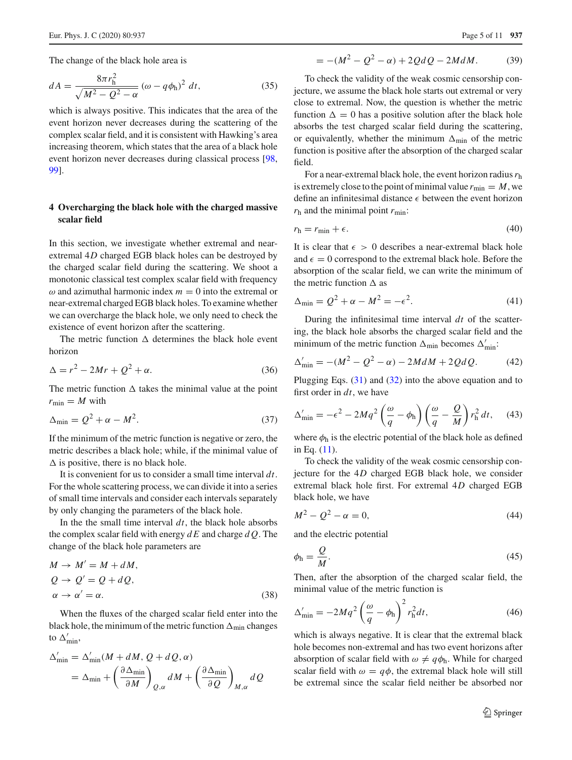The change of the black hole area is

$$
dA = \frac{8\pi r_{\rm h}^2}{\sqrt{M^2 - Q^2 - \alpha}} \left(\omega - q\phi_{\rm h}\right)^2 dt,\tag{35}
$$

which is always positive. This indicates that the area of the event horizon never decreases during the scattering of the complex scalar field, and it is consistent with Hawking's area increasing theorem, which states that the area of a black hole event horizon never decreases during classical process [\[98,](#page-10-17) [99\]](#page-10-18).

## <span id="page-4-0"></span>**4 Overcharging the black hole with the charged massive scalar field**

In this section, we investigate whether extremal and nearextremal 4*D* charged EGB black holes can be destroyed by the charged scalar field during the scattering. We shoot a monotonic classical test complex scalar field with frequency  $\omega$  and azimuthal harmonic index  $m = 0$  into the extremal or near-extremal charged EGB black holes. To examine whether we can overcharge the black hole, we only need to check the existence of event horizon after the scattering.

The metric function  $\Delta$  determines the black hole event horizon

$$
\Delta = r^2 - 2Mr + Q^2 + \alpha. \tag{36}
$$

The metric function  $\Delta$  takes the minimal value at the point  $r_{\min} = M$  with

$$
\Delta_{\min} = Q^2 + \alpha - M^2. \tag{37}
$$

If the minimum of the metric function is negative or zero, the metric describes a black hole; while, if the minimal value of  $\Delta$  is positive, there is no black hole.

It is convenient for us to consider a small time interval *dt*. For the whole scattering process, we can divide it into a series of small time intervals and consider each intervals separately by only changing the parameters of the black hole.

In the the small time interval *dt*, the black hole absorbs the complex scalar field with energy *d E* and charge *d Q*. The change of the black hole parameters are

$$
M \to M' = M + dM,
$$
  
\n
$$
Q \to Q' = Q + dQ,
$$
  
\n
$$
\alpha \to \alpha' = \alpha.
$$
\n(38)

When the fluxes of the charged scalar field enter into the black hole, the minimum of the metric function  $\Delta_{\text{min}}$  changes to  $\Delta'_{\min}$ ,

$$
\Delta'_{\min} = \Delta'_{\min}(M + dM, Q + dQ, \alpha)
$$
  
=  $\Delta_{\min} + \left(\frac{\partial \Delta_{\min}}{\partial M}\right)_{Q,\alpha} dM + \left(\frac{\partial \Delta_{\min}}{\partial Q}\right)_{M,\alpha} dQ$ 

$$
= -(M^2 - Q^2 - \alpha) + 2QdQ - 2MdM.
$$
 (39)

To check the validity of the weak cosmic censorship conjecture, we assume the black hole starts out extremal or very close to extremal. Now, the question is whether the metric function  $\Delta = 0$  has a positive solution after the black hole absorbs the test charged scalar field during the scattering, or equivalently, whether the minimum  $\Delta_{\text{min}}$  of the metric function is positive after the absorption of the charged scalar field.

For a near-extremal black hole, the event horizon radius*r*<sup>h</sup> is extremely close to the point of minimal value  $r_{\min} = M$ , we define an infinitesimal distance  $\epsilon$  between the event horizon  $r<sub>h</sub>$  and the minimal point  $r<sub>min</sub>$ :

$$
r_{\rm h} = r_{\rm min} + \epsilon. \tag{40}
$$

It is clear that  $\epsilon > 0$  describes a near-extremal black hole and  $\epsilon = 0$  correspond to the extremal black hole. Before the absorption of the scalar field, we can write the minimum of the metric function  $\Delta$  as

$$
\Delta_{\min} = Q^2 + \alpha - M^2 = -\epsilon^2. \tag{41}
$$

During the infinitesimal time interval *dt* of the scattering, the black hole absorbs the charged scalar field and the minimum of the metric function  $\Delta_{\min}$  becomes  $\Delta'_{\min}$ :

$$
\Delta'_{\min} = -(M^2 - Q^2 - \alpha) - 2MdM + 2QdQ. \tag{42}
$$

Plugging Eqs. [\(31\)](#page-3-2) and [\(32\)](#page-3-2) into the above equation and to first order in *dt*, we have

$$
\Delta'_{\min} = -\epsilon^2 - 2Mq^2 \left(\frac{\omega}{q} - \phi_{\rm h}\right) \left(\frac{\omega}{q} - \frac{Q}{M}\right) r_{\rm h}^2 \, dt,\tag{43}
$$

where  $\phi_h$  is the electric potential of the black hole as defined in Eq. [\(11\)](#page-2-2).

To check the validity of the weak cosmic censorship conjecture for the 4*D* charged EGB black hole, we consider extremal black hole first. For extremal 4*D* charged EGB black hole, we have

$$
M^2 - Q^2 - \alpha = 0,\t\t(44)
$$

and the electric potential

$$
\phi_{\rm h} = \frac{Q}{M}.\tag{45}
$$

Then, after the absorption of the charged scalar field, the minimal value of the metric function is

$$
\Delta'_{\min} = -2Mq^2 \left(\frac{\omega}{q} - \phi_{\rm h}\right)^2 r_{\rm h}^2 dt,\tag{46}
$$

which is always negative. It is clear that the extremal black hole becomes non-extremal and has two event horizons after absorption of scalar field with  $\omega \neq q\phi_h$ . While for charged scalar field with  $\omega = q\phi$ , the extremal black hole will still be extremal since the scalar field neither be absorbed nor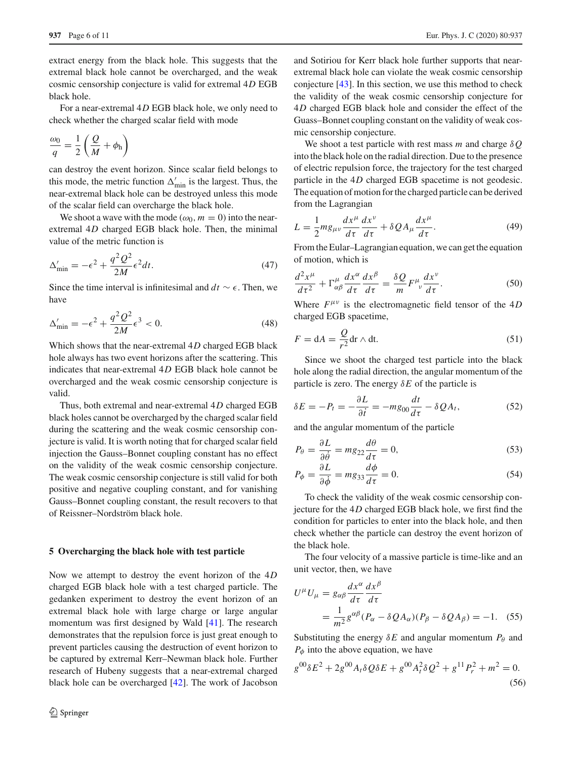extract energy from the black hole. This suggests that the extremal black hole cannot be overcharged, and the weak cosmic censorship conjecture is valid for extremal 4*D* EGB black hole.

For a near-extremal 4*D* EGB black hole, we only need to check whether the charged scalar field with mode

$$
\frac{\omega_0}{q} = \frac{1}{2} \left( \frac{Q}{M} + \phi_{\rm h} \right)
$$

can destroy the event horizon. Since scalar field belongs to this mode, the metric function  $\Delta'_{\min}$  is the largest. Thus, the near-extremal black hole can be destroyed unless this mode of the scalar field can overcharge the black hole.

We shoot a wave with the mode ( $\omega_0$ ,  $m = 0$ ) into the nearextremal 4*D* charged EGB black hole. Then, the minimal value of the metric function is

$$
\Delta'_{\min} = -\epsilon^2 + \frac{q^2 Q^2}{2M} \epsilon^2 dt. \tag{47}
$$

Since the time interval is infinitesimal and  $dt \sim \epsilon$ . Then, we have

$$
\Delta'_{\min} = -\epsilon^2 + \frac{q^2 Q^2}{2M} \epsilon^3 < 0. \tag{48}
$$

Which shows that the near-extremal 4*D* charged EGB black hole always has two event horizons after the scattering. This indicates that near-extremal 4*D* EGB black hole cannot be overcharged and the weak cosmic censorship conjecture is valid.

Thus, both extremal and near-extremal 4*D* charged EGB black holes cannot be overcharged by the charged scalar field during the scattering and the weak cosmic censorship conjecture is valid. It is worth noting that for charged scalar field injection the Gauss–Bonnet coupling constant has no effect on the validity of the weak cosmic censorship conjecture. The weak cosmic censorship conjecture is still valid for both positive and negative coupling constant, and for vanishing Gauss–Bonnet coupling constant, the result recovers to that of Reissner–Nordström black hole.

#### <span id="page-5-0"></span>**5 Overcharging the black hole with test particle**

Now we attempt to destroy the event horizon of the 4*D* charged EGB black hole with a test charged particle. The gedanken experiment to destroy the event horizon of an extremal black hole with large charge or large angular momentum was first designed by Wald [\[41\]](#page-9-15). The research demonstrates that the repulsion force is just great enough to prevent particles causing the destruction of event horizon to be captured by extremal Kerr–Newman black hole. Further research of Hubeny suggests that a near-extremal charged black hole can be overcharged [\[42](#page-9-16)]. The work of Jacobson and Sotiriou for Kerr black hole further supports that nearextremal black hole can violate the weak cosmic censorship conjecture [\[43](#page-9-17)]. In this section, we use this method to check the validity of the weak cosmic censorship conjecture for 4*D* charged EGB black hole and consider the effect of the Guass–Bonnet coupling constant on the validity of weak cosmic censorship conjecture.

We shoot a test particle with rest mass *m* and charge δ*Q* into the black hole on the radial direction. Due to the presence of electric repulsion force, the trajectory for the test charged particle in the 4*D* charged EGB spacetime is not geodesic. The equation of motion for the charged particle can be derived from the Lagrangian

$$
L = \frac{1}{2} m g_{\mu\nu} \frac{dx^{\mu}}{d\tau} \frac{dx^{\nu}}{d\tau} + \delta Q A_{\mu} \frac{dx^{\mu}}{d\tau}.
$$
 (49)

From the Eular–Lagrangian equation, we can get the equation of motion, which is

$$
\frac{d^2x^{\mu}}{d\tau^2} + \Gamma^{\mu}_{\alpha\beta}\frac{dx^{\alpha}}{d\tau}\frac{dx^{\beta}}{d\tau} = \frac{\delta Q}{m}F^{\mu}_{\ \nu}\frac{dx^{\nu}}{d\tau}.
$$
 (50)

Where  $F^{\mu\nu}$  is the electromagnetic field tensor of the 4*D* charged EGB spacetime,

$$
F = dA = \frac{Q}{r^2} dr \wedge dt.
$$
 (51)

Since we shoot the charged test particle into the black hole along the radial direction, the angular momentum of the particle is zero. The energy δ*E* of the particle is

$$
\delta E = -P_t = -\frac{\partial L}{\partial \dot{t}} = -mg_{00}\frac{dt}{d\tau} - \delta Q A_t, \qquad (52)
$$

and the angular momentum of the particle

$$
P_{\theta} = \frac{\partial L}{\partial \dot{\theta}} = mg_{22} \frac{d\theta}{d\tau} = 0,
$$
\n(53)

$$
P_{\phi} = \frac{\partial L}{\partial \dot{\phi}} = mg_{33} \frac{d\phi}{d\tau} = 0.
$$
 (54)

To check the validity of the weak cosmic censorship conjecture for the 4*D* charged EGB black hole, we first find the condition for particles to enter into the black hole, and then check whether the particle can destroy the event horizon of the black hole.

The four velocity of a massive particle is time-like and an unit vector, then, we have

$$
U^{\mu}U_{\mu} = g_{\alpha\beta} \frac{dx^{\alpha}}{d\tau} \frac{dx^{\beta}}{d\tau}
$$
  
= 
$$
\frac{1}{m^2} g^{\alpha\beta} (P_{\alpha} - \delta Q A_{\alpha})(P_{\beta} - \delta Q A_{\beta}) = -1.
$$
 (55)

Substituting the energy  $\delta E$  and angular momentum  $P_{\theta}$  and  $P_{\phi}$  into the above equation, we have

$$
g^{00}\delta E^2 + 2g^{00}A_t\delta Q\delta E + g^{00}A_t^2\delta Q^2 + g^{11}P_r^2 + m^2 = 0.
$$
\n(56)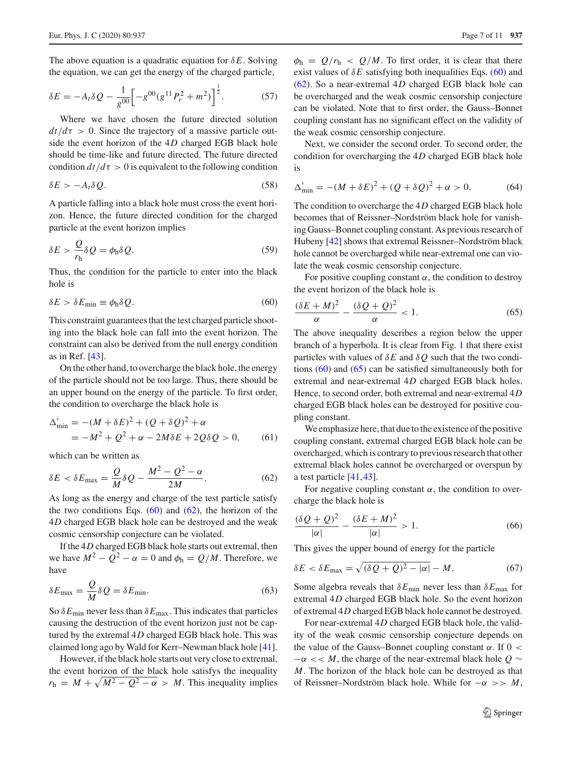The above equation is a quadratic equation for δ*E*. Solving the equation, we can get the energy of the charged particle,

$$
\delta E = -A_t \delta Q - \frac{1}{g^{00}} \left[ -g^{00} (g^{11} P_r^2 + m^2) \right]^{\frac{1}{2}}.
$$
 (57)

Where we have chosen the future directed solution  $dt/d\tau > 0$ . Since the trajectory of a massive particle outside the event horizon of the 4*D* charged EGB black hole should be time-like and future directed. The future directed condition  $dt/d\tau > 0$  is equivalent to the following condition

$$
\delta E > -A_t \delta Q. \tag{58}
$$

A particle falling into a black hole must cross the event horizon. Hence, the future directed condition for the charged particle at the event horizon implies

$$
\delta E > \frac{Q}{r_{\rm h}} \delta Q = \phi_{\rm h} \delta Q. \tag{59}
$$

Thus, the condition for the particle to enter into the black hole is

<span id="page-6-0"></span>
$$
\delta E > \delta E_{\min} \equiv \phi_{\rm h} \delta Q. \tag{60}
$$

This constraint guarantees that the test charged particle shooting into the black hole can fall into the event horizon. The constraint can also be derived from the null energy condition as in Ref. [\[43\]](#page-9-17).

On the other hand, to overcharge the black hole, the energy of the particle should not be too large. Thus, there should be an upper bound on the energy of the particle. To first order, the condition to overcharge the black hole is

$$
\Delta'_{\min} = -(M + \delta E)^2 + (Q + \delta Q)^2 + \alpha
$$
  
=  $-M^2 + Q^2 + \alpha - 2M\delta E + 2Q\delta Q > 0,$  (61)

which can be written as

<span id="page-6-1"></span>
$$
\delta E < \delta E_{\text{max}} = \frac{Q}{M} \delta Q - \frac{M^2 - Q^2 - \alpha}{2M}.\tag{62}
$$

As long as the energy and charge of the test particle satisfy the two conditions Eqs.  $(60)$  and  $(62)$ , the horizon of the 4*D* charged EGB black hole can be destroyed and the weak cosmic censorship conjecture can be violated.

If the 4*D* charged EGB black hole starts out extremal, then we have  $M^2 - Q^2 - \alpha = 0$  and  $\phi_h = Q/M$ . Therefore, we have

$$
\delta E_{\text{max}} = \frac{Q}{M} \delta Q = \delta E_{\text{min}}.\tag{63}
$$

So  $\delta E_{\text{min}}$  never less than  $\delta E_{\text{max}}$ . This indicates that particles causing the destruction of the event horizon just not be captured by the extremal 4*D* charged EGB black hole. This was claimed long ago by Wald for Kerr–Newman black hole [\[41](#page-9-15)].

However, if the black hole starts out very close to extremal, the event horizon of the black hole satisfys the inequality  $r_h = M + \sqrt{M^2 - Q^2 - \alpha} > M$ . This inequality implies

 $\phi_h = Q/r_h < Q/M$ . To first order, it is clear that there exist values of  $\delta E$  satisfying both inequalities Eqs. [\(60\)](#page-6-0) and [\(62\)](#page-6-1). So a near-extremal 4*D* charged EGB black hole can be overcharged and the weak cosmic censorship conjecture can be violated. Note that to first order, the Gauss–Bonnet coupling constant has no significant effect on the validity of the weak cosmic censorship conjecture.

Next, we consider the second order. To second order, the condition for overcharging the 4*D* charged EGB black hole is

$$
\Delta'_{\min} = -(M + \delta E)^2 + (Q + \delta Q)^2 + \alpha > 0.
$$
 (64)

The condition to overcharge the 4*D* charged EGB black hole becomes that of Reissner–Nordström black hole for vanishing Gauss–Bonnet coupling constant. As previous research of Hubeny [\[42\]](#page-9-16) shows that extremal Reissner–Nordström black hole cannot be overcharged while near-extremal one can violate the weak cosmic censorship conjecture.

For positive coupling constant  $\alpha$ , the condition to destroy the event horizon of the black hole is

<span id="page-6-2"></span>
$$
\frac{(\delta E + M)^2}{\alpha} - \frac{(\delta Q + Q)^2}{\alpha} < 1. \tag{65}
$$

The above inequality describes a region below the upper branch of a hyperbola. It is clear from Fig. [1](#page-7-1) that there exist particles with values of  $\delta E$  and  $\delta Q$  such that the two conditions [\(60\)](#page-6-0) and [\(65\)](#page-6-2) can be satisfied simultaneously both for extremal and near-extremal 4*D* charged EGB black holes. Hence, to second order, both extremal and near-extremal 4*D* charged EGB black holes can be destroyed for positive coupling constant.

We emphasize here, that due to the existence of the positive coupling constant, extremal charged EGB black hole can be overcharged, which is contrary to previous research that other extremal black holes cannot be overcharged or overspun by a test particle [\[41](#page-9-15)[,43](#page-9-17)].

For negative coupling constant  $\alpha$ , the condition to overcharge the black hole is

$$
\frac{(\delta Q + Q)^2}{|\alpha|} - \frac{(\delta E + M)^2}{|\alpha|} > 1.
$$
\n
$$
(66)
$$

This gives the upper bound of energy for the particle

<span id="page-6-3"></span>
$$
\delta E < \delta E_{\text{max}} = \sqrt{(\delta Q + Q)^2 - |\alpha|} - M. \tag{67}
$$

Some algebra reveals that δ*E*min never less than δ*E*max for extremal 4*D* charged EGB black hole. So the event horizon of extremal 4*D* charged EGB black hole cannot be destroyed.

For near-extremal 4*D* charged EGB black hole, the validity of the weak cosmic censorship conjecture depends on the value of the Gauss–Bonnet coupling constant  $\alpha$ . If 0 <  $-\alpha \ll M$ , the charge of the near-extremal black hole *Q* ∼ *M*. The horizon of the black hole can be destroyed as that of Reissner–Nordström black hole. While for −α >> *M*,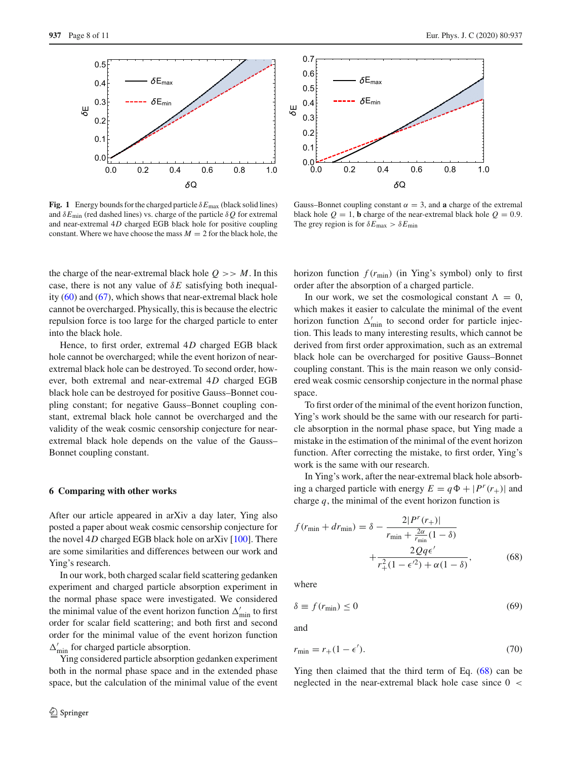

<span id="page-7-1"></span>**Fig. 1** Energy bounds for the charged particle  $\delta E_{\text{max}}$  (black solid lines) and  $\delta E_{\text{min}}$  (red dashed lines) vs. charge of the particle  $\delta Q$  for extremal and near-extremal 4*D* charged EGB black hole for positive coupling constant. Where we have choose the mass  $M = 2$  for the black hole, the



Gauss–Bonnet coupling constant  $\alpha = 3$ , and **a** charge of the extremal black hole  $Q = 1$ , **b** charge of the near-extremal black hole  $Q = 0.9$ . The grey region is for  $\delta E_{\text{max}} > \delta E_{\text{min}}$ 

the charge of the near-extremal black hole  $Q \gg M$ . In this case, there is not any value of δ*E* satisfying both inequality [\(60\)](#page-6-0) and [\(67\)](#page-6-3), which shows that near-extremal black hole cannot be overcharged. Physically, this is because the electric repulsion force is too large for the charged particle to enter into the black hole.

Hence, to first order, extremal 4*D* charged EGB black hole cannot be overcharged; while the event horizon of nearextremal black hole can be destroyed. To second order, however, both extremal and near-extremal 4*D* charged EGB black hole can be destroyed for positive Gauss–Bonnet coupling constant; for negative Gauss–Bonnet coupling constant, extremal black hole cannot be overcharged and the validity of the weak cosmic censorship conjecture for nearextremal black hole depends on the value of the Gauss– Bonnet coupling constant.

#### <span id="page-7-0"></span>**6 Comparing with other works**

After our article appeared in arXiv a day later, Ying also posted a paper about weak cosmic censorship conjecture for the novel 4*D* charged EGB black hole on arXiv [\[100](#page-10-19)]. There are some similarities and differences between our work and Ying's research.

In our work, both charged scalar field scattering gedanken experiment and charged particle absorption experiment in the normal phase space were investigated. We considered the minimal value of the event horizon function  $\Delta'_{min}$  to first order for scalar field scattering; and both first and second order for the minimal value of the event horizon function  $\Delta'_{\text{min}}$  for charged particle absorption.

Ying considered particle absorption gedanken experiment both in the normal phase space and in the extended phase space, but the calculation of the minimal value of the event horizon function  $f(r_{\text{min}})$  (in Ying's symbol) only to first order after the absorption of a charged particle.

In our work, we set the cosmological constant  $\Lambda = 0$ , which makes it easier to calculate the minimal of the event horizon function  $\Delta'_{\text{min}}$  to second order for particle injection. This leads to many interesting results, which cannot be derived from first order approximation, such as an extremal black hole can be overcharged for positive Gauss–Bonnet coupling constant. This is the main reason we only considered weak cosmic censorship conjecture in the normal phase space.

To first order of the minimal of the event horizon function, Ying's work should be the same with our research for particle absorption in the normal phase space, but Ying made a mistake in the estimation of the minimal of the event horizon function. After correcting the mistake, to first order, Ying's work is the same with our research.

In Ying's work, after the near-extremal black hole absorbing a charged particle with energy  $E = q\Phi + |P^r(r_+)|$  and charge *q*, the minimal of the event horizon function is

<span id="page-7-2"></span>
$$
f(r_{\min} + dr_{\min}) = \delta - \frac{2|P^r(r_+)|}{r_{\min} + \frac{2\alpha}{r_{\min}}(1 - \delta)}
$$

$$
+ \frac{2Qq\epsilon'}{r_+^2(1 - \epsilon'^2) + \alpha(1 - \delta)},
$$
(68)

where

$$
\delta \equiv f(r_{\rm min}) \le 0 \tag{69}
$$

and

$$
r_{\min} = r_+(1 - \epsilon').\tag{70}
$$

Ying then claimed that the third term of Eq. [\(68\)](#page-7-2) can be neglected in the near-extremal black hole case since 0 <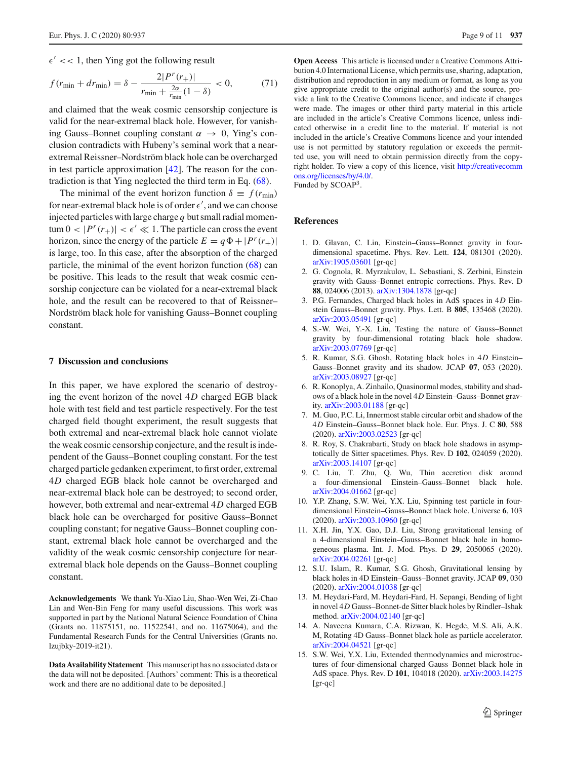$\epsilon' \ll 1$ , then Ying got the following result

$$
f(r_{\min} + dr_{\min}) = \delta - \frac{2|P^r(r_+)|}{r_{\min} + \frac{2\alpha}{r_{\min}}(1 - \delta)} < 0,
$$
 (71)

and claimed that the weak cosmic censorship conjecture is valid for the near-extremal black hole. However, for vanishing Gauss–Bonnet coupling constant  $\alpha \rightarrow 0$ , Ying's conclusion contradicts with Hubeny's seminal work that a nearextremal Reissner–Nordström black hole can be overcharged in test particle approximation [\[42\]](#page-9-16). The reason for the contradiction is that Ying neglected the third term in Eq. [\(68\)](#page-7-2).

The minimal of the event horizon function  $\delta \equiv f(r_{\text{min}})$ for near-extremal black hole is of order  $\epsilon'$ , and we can choose injected particles with large charge *q* but small radial momen- $\tan 0 < |P^r(r_+)| < \epsilon' \ll 1$ . The particle can cross the event horizon, since the energy of the particle  $E = q\Phi + |P^r(r_+)|$ is large, too. In this case, after the absorption of the charged particle, the minimal of the event horizon function [\(68\)](#page-7-2) can be positive. This leads to the result that weak cosmic censorship conjecture can be violated for a near-extremal black hole, and the result can be recovered to that of Reissner– Nordström black hole for vanishing Gauss–Bonnet coupling constant.

#### **7 Discussion and conclusions**

In this paper, we have explored the scenario of destroying the event horizon of the novel 4*D* charged EGB black hole with test field and test particle respectively. For the test charged field thought experiment, the result suggests that both extremal and near-extremal black hole cannot violate the weak cosmic censorship conjecture, and the result is independent of the Gauss–Bonnet coupling constant. For the test charged particle gedanken experiment, to first order, extremal 4*D* charged EGB black hole cannot be overcharged and near-extremal black hole can be destroyed; to second order, however, both extremal and near-extremal 4*D* charged EGB black hole can be overcharged for positive Gauss–Bonnet coupling constant; for negative Gauss–Bonnet coupling constant, extremal black hole cannot be overcharged and the validity of the weak cosmic censorship conjecture for nearextremal black hole depends on the Gauss–Bonnet coupling constant.

**Acknowledgements** We thank Yu-Xiao Liu, Shao-Wen Wei, Zi-Chao Lin and Wen-Bin Feng for many useful discussions. This work was supported in part by the National Natural Science Foundation of China (Grants no. 11875151, no. 11522541, and no. 11675064), and the Fundamental Research Funds for the Central Universities (Grants no. lzujbky-2019-it21).

**Data Availability Statement** This manuscript has no associated data or the data will not be deposited. [Authors' comment: This is a theoretical work and there are no additional date to be deposited.]

**Open Access** This article is licensed under a Creative Commons Attribution 4.0 International License, which permits use, sharing, adaptation, distribution and reproduction in any medium or format, as long as you give appropriate credit to the original author(s) and the source, provide a link to the Creative Commons licence, and indicate if changes were made. The images or other third party material in this article are included in the article's Creative Commons licence, unless indicated otherwise in a credit line to the material. If material is not included in the article's Creative Commons licence and your intended use is not permitted by statutory regulation or exceeds the permitted use, you will need to obtain permission directly from the copyright holder. To view a copy of this licence, visit [http://creativecomm](http://creativecommons.org/licenses/by/4.0/) [ons.org/licenses/by/4.0/.](http://creativecommons.org/licenses/by/4.0/) Funded by SCOAP<sup>3</sup>.

#### **References**

- <span id="page-8-0"></span>1. D. Glavan, C. Lin, Einstein–Gauss–Bonnet gravity in fourdimensional spacetime. Phys. Rev. Lett. **124**, 081301 (2020). [arXiv:1905.03601](http://arxiv.org/abs/1905.03601) [gr-qc]
- <span id="page-8-1"></span>2. G. Cognola, R. Myrzakulov, L. Sebastiani, S. Zerbini, Einstein gravity with Gauss–Bonnet entropic corrections. Phys. Rev. D **88**, 024006 (2013). [arXiv:1304.1878](http://arxiv.org/abs/1304.1878) [gr-qc]
- <span id="page-8-2"></span>3. P.G. Fernandes, Charged black holes in AdS spaces in 4*D* Einstein Gauss–Bonnet gravity. Phys. Lett. B **805**, 135468 (2020). [arXiv:2003.05491](http://arxiv.org/abs/2003.05491) [gr-qc]
- <span id="page-8-3"></span>4. S.-W. Wei, Y.-X. Liu, Testing the nature of Gauss–Bonnet gravity by four-dimensional rotating black hole shadow. [arXiv:2003.07769](http://arxiv.org/abs/2003.07769) [gr-qc]
- <span id="page-8-4"></span>5. R. Kumar, S.G. Ghosh, Rotating black holes in 4*D* Einstein– Gauss–Bonnet gravity and its shadow. JCAP **07**, 053 (2020). [arXiv:2003.08927](http://arxiv.org/abs/2003.08927) [gr-qc]
- <span id="page-8-5"></span>6. R. Konoplya, A. Zinhailo, Quasinormal modes, stability and shadows of a black hole in the novel 4*D* Einstein–Gauss–Bonnet gravity. [arXiv:2003.01188](http://arxiv.org/abs/2003.01188) [gr-qc]
- 7. M. Guo, P.C. Li, Innermost stable circular orbit and shadow of the 4*D* Einstein–Gauss–Bonnet black hole. Eur. Phys. J. C **80**, 588 (2020). [arXiv:2003.02523](http://arxiv.org/abs/2003.02523) [gr-qc]
- <span id="page-8-6"></span>8. R. Roy, S. Chakrabarti, Study on black hole shadows in asymptotically de Sitter spacetimes. Phys. Rev. D **102**, 024059 (2020). [arXiv:2003.14107](http://arxiv.org/abs/2003.14107) [gr-qc]
- <span id="page-8-7"></span>9. C. Liu, T. Zhu, Q. Wu, Thin accretion disk around a four-dimensional Einstein–Gauss–Bonnet black hole. [arXiv:2004.01662](http://arxiv.org/abs/2004.01662) [gr-qc]
- <span id="page-8-8"></span>10. Y.P. Zhang, S.W. Wei, Y.X. Liu, Spinning test particle in fourdimensional Einstein–Gauss–Bonnet black hole. Universe **6**, 103 (2020). [arXiv:2003.10960](http://arxiv.org/abs/2003.10960) [gr-qc]
- <span id="page-8-9"></span>11. X.H. Jin, Y.X. Gao, D.J. Liu, Strong gravitational lensing of a 4-dimensional Einstein–Gauss–Bonnet black hole in homogeneous plasma. Int. J. Mod. Phys. D **29**, 2050065 (2020). [arXiv:2004.02261](http://arxiv.org/abs/2004.02261) [gr-qc]
- 12. S.U. Islam, R. Kumar, S.G. Ghosh, Gravitational lensing by black holes in 4D Einstein–Gauss–Bonnet gravity. JCAP **09**, 030 (2020). [arXiv:2004.01038](http://arxiv.org/abs/2004.01038) [gr-qc]
- <span id="page-8-10"></span>13. M. Heydari-Fard, M. Heydari-Fard, H. Sepangi, Bending of light in novel 4*D* Gauss–Bonnet-de Sitter black holes by Rindler–Ishak method. [arXiv:2004.02140](http://arxiv.org/abs/2004.02140) [gr-qc]
- <span id="page-8-11"></span>14. A. Naveena Kumara, C.A. Rizwan, K. Hegde, M.S. Ali, A.K. M, Rotating 4D Gauss–Bonnet black hole as particle accelerator. [arXiv:2004.04521](http://arxiv.org/abs/2004.04521) [gr-qc]
- <span id="page-8-12"></span>15. S.W. Wei, Y.X. Liu, Extended thermodynamics and microstructures of four-dimensional charged Gauss–Bonnet black hole in AdS space. Phys. Rev. D **101**, 104018 (2020). [arXiv:2003.14275](http://arxiv.org/abs/2003.14275) [gr-qc]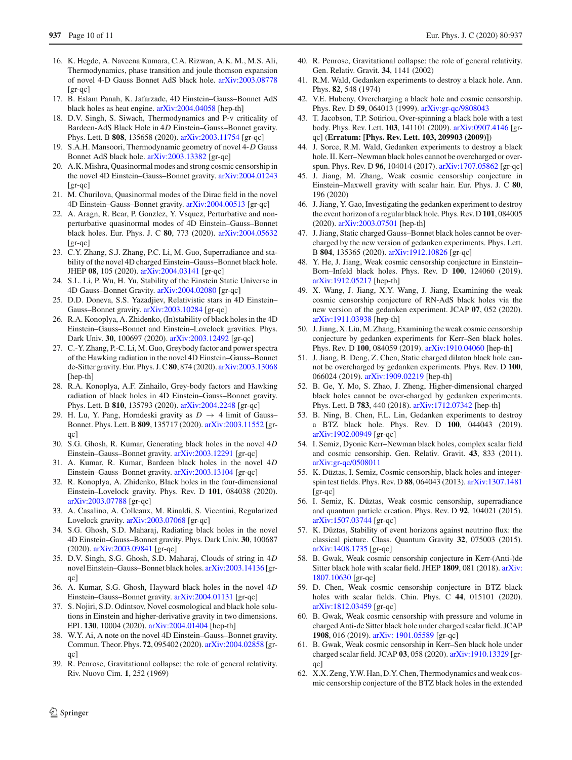- 16. K. Hegde, A. Naveena Kumara, C.A. Rizwan, A.K. M., M.S. Ali, Thermodynamics, phase transition and joule thomson expansion of novel 4-D Gauss Bonnet AdS black hole. [arXiv:2003.08778](http://arxiv.org/abs/2003.08778) [gr-qc]
- 17. B. Eslam Panah, K. Jafarzade, 4D Einstein–Gauss–Bonnet AdS black holes as heat engine. [arXiv:2004.04058](http://arxiv.org/abs/2004.04058) [hep-th]
- 18. D.V. Singh, S. Siwach, Thermodynamics and P-v criticality of Bardeen-AdS Black Hole in 4*D* Einstein–Gauss–Bonnet gravity. Phys. Lett. B **808**, 135658 (2020). [arXiv:2003.11754](http://arxiv.org/abs/2003.11754) [gr-qc]
- <span id="page-9-0"></span>19. S.A.H. Mansoori, Thermodynamic geometry of novel 4-*D* Gauss Bonnet AdS black hole. [arXiv:2003.13382](http://arxiv.org/abs/2003.13382) [gr-qc]
- <span id="page-9-1"></span>20. A.K. Mishra, Quasinormal modes and strong cosmic censorship in the novel 4D Einstein–Gauss–Bonnet gravity. [arXiv:2004.01243](http://arxiv.org/abs/2004.01243) [gr-qc]
- 21. M. Churilova, Quasinormal modes of the Dirac field in the novel 4D Einstein–Gauss–Bonnet gravity. [arXiv:2004.00513](http://arxiv.org/abs/2004.00513) [gr-qc]
- <span id="page-9-2"></span>22. A. Aragn, R. Bcar, P. Gonzlez, Y. Vsquez, Perturbative and nonperturbative quasinormal modes of 4D Einstein–Gauss–Bonnet black holes. Eur. Phys. J. C **80**, 773 (2020). [arXiv:2004.05632](http://arxiv.org/abs/2004.05632) [gr-qc]
- <span id="page-9-3"></span>23. C.Y. Zhang, S.J. Zhang, P.C. Li, M. Guo, Superradiance and stability of the novel 4D charged Einstein–Gauss–Bonnet black hole. JHEP **08**, 105 (2020). [arXiv:2004.03141](http://arxiv.org/abs/2004.03141) [gr-qc]
- <span id="page-9-4"></span>24. S.L. Li, P. Wu, H. Yu, Stability of the Einstein Static Universe in 4D Gauss–Bonnet Gravity. [arXiv:2004.02080](http://arxiv.org/abs/2004.02080) [gr-qc]
- <span id="page-9-5"></span>25. D.D. Doneva, S.S. Yazadjiev, Relativistic stars in 4D Einstein– Gauss–Bonnet gravity. [arXiv:2003.10284](http://arxiv.org/abs/2003.10284) [gr-qc]
- <span id="page-9-6"></span>26. R.A. Konoplya, A. Zhidenko, (In)stability of black holes in the 4D Einstein–Gauss–Bonnet and Einstein–Lovelock gravities. Phys. Dark Univ. **30**, 100697 (2020). [arXiv:2003.12492](http://arxiv.org/abs/2003.12492) [gr-qc]
- <span id="page-9-7"></span>27. C.-Y. Zhang, P.-C. Li, M. Guo, Greybody factor and power spectra of the Hawking radiation in the novel 4D Einstein–Gauss–Bonnet de-Sitter gravity. Eur. Phys. J. C**80**, 874 (2020). [arXiv:2003.13068](http://arxiv.org/abs/2003.13068) [hep-th]
- <span id="page-9-8"></span>28. R.A. Konoplya, A.F. Zinhailo, Grey-body factors and Hawking radiation of black holes in 4D Einstein–Gauss–Bonnet gravity. Phys. Lett. B **810**, 135793 (2020). [arXiv:2004.2248](http://arxiv.org/abs/2004.2248) [gr-qc]
- <span id="page-9-9"></span>29. H. Lu, Y. Pang, Horndeski gravity as  $D \rightarrow 4$  limit of Gauss– Bonnet. Phys. Lett. B **809**, 135717 (2020). [arXiv:2003.11552](http://arxiv.org/abs/2003.11552) [grqc]
- 30. S.G. Ghosh, R. Kumar, Generating black holes in the novel 4*D* Einstein–Gauss–Bonnet gravity. [arXiv:2003.12291](http://arxiv.org/abs/2003.12291) [gr-qc]
- 31. A. Kumar, R. Kumar, Bardeen black holes in the novel 4*D* Einstein–Gauss–Bonnet gravity. [arXiv:2003.13104](http://arxiv.org/abs/2003.13104) [gr-qc]
- 32. R. Konoplya, A. Zhidenko, Black holes in the four-dimensional Einstein–Lovelock gravity. Phys. Rev. D **101**, 084038 (2020). [arXiv:2003.07788](http://arxiv.org/abs/2003.07788) [gr-qc]
- 33. A. Casalino, A. Colleaux, M. Rinaldi, S. Vicentini, Regularized Lovelock gravity. [arXiv:2003.07068](http://arxiv.org/abs/2003.07068) [gr-qc]
- 34. S.G. Ghosh, S.D. Maharaj, Radiating black holes in the novel 4D Einstein–Gauss–Bonnet gravity. Phys. Dark Univ. **30**, 100687 (2020). [arXiv:2003.09841](http://arxiv.org/abs/2003.09841) [gr-qc]
- 35. D.V. Singh, S.G. Ghosh, S.D. Maharaj, Clouds of string in 4*D* novel Einstein–Gauss–Bonnet black holes. [arXiv:2003.14136](http://arxiv.org/abs/2003.14136) [grqc]
- <span id="page-9-10"></span>36. A. Kumar, S.G. Ghosh, Hayward black holes in the novel 4*D* Einstein–Gauss–Bonnet gravity. [arXiv:2004.01131](http://arxiv.org/abs/2004.01131) [gr-qc]
- <span id="page-9-11"></span>37. S. Nojiri, S.D. Odintsov, Novel cosmological and black hole solutions in Einstein and higher-derivative gravity in two dimensions. EPL **130**, 10004 (2020). [arXiv:2004.01404](http://arxiv.org/abs/2004.01404) [hep-th]
- <span id="page-9-12"></span>38. W.Y. Ai, A note on the novel 4D Einstein–Gauss–Bonnet gravity. Commun. Theor. Phys. **72**, 095402 (2020). [arXiv:2004.02858](http://arxiv.org/abs/2004.02858) [grqc]
- <span id="page-9-13"></span>39. R. Penrose, Gravitational collapse: the role of general relativity. Riv. Nuovo Cim. **1**, 252 (1969)
- <span id="page-9-14"></span>40. R. Penrose, Gravitational collapse: the role of general relativity. Gen. Relativ. Gravit. **34**, 1141 (2002)
- <span id="page-9-15"></span>41. R.M. Wald, Gedanken experiments to destroy a black hole. Ann. Phys. **82**, 548 (1974)
- <span id="page-9-16"></span>42. V.E. Hubeny, Overcharging a black hole and cosmic censorship. Phys. Rev. D **59**, 064013 (1999). [arXiv:gr-qc/9808043](http://arxiv.org/abs/gr-qc/9808043)
- <span id="page-9-17"></span>43. T. Jacobson, T.P. Sotiriou, Over-spinning a black hole with a test body. Phys. Rev. Lett. **103**, 141101 (2009). [arXiv:0907.4146](http://arxiv.org/abs/0907.4146) [grqc] (**Erratum: [Phys. Rev. Lett. 103, 209903 (2009)]**)
- <span id="page-9-18"></span>44. J. Sorce, R.M. Wald, Gedanken experiments to destroy a black hole. II. Kerr–Newman black holes cannot be overcharged or overspun. Phys. Rev. D **96**, 104014 (2017). [arXiv:1707.05862](http://arxiv.org/abs/1707.05862) [gr-qc]
- <span id="page-9-19"></span>45. J. Jiang, M. Zhang, Weak cosmic censorship conjecture in Einstein–Maxwell gravity with scalar hair. Eur. Phys. J. C **80**, 196 (2020)
- 46. J. Jiang, Y. Gao, Investigating the gedanken experiment to destroy the event horizon of a regular black hole. Phys. Rev. D **101**, 084005 (2020). [arXiv:2003.07501](http://arxiv.org/abs/2003.07501) [hep-th]
- 47. J. Jiang, Static charged Gauss–Bonnet black holes cannot be overcharged by the new version of gedanken experiments. Phys. Lett. B **804**, 135365 (2020). [arXiv:1912.10826](http://arxiv.org/abs/1912.10826) [gr-qc]
- 48. Y. He, J. Jiang, Weak cosmic censorship conjecture in Einstein– Born–Infeld black holes. Phys. Rev. D **100**, 124060 (2019). [arXiv:1912.05217](http://arxiv.org/abs/1912.05217) [hep-th]
- 49. X. Wang, J. Jiang, X.Y. Wang, J. Jiang, Examining the weak cosmic censorship conjecture of RN-AdS black holes via the new version of the gedanken experiment. JCAP **07**, 052 (2020). [arXiv:1911.03938](http://arxiv.org/abs/1911.03938) [hep-th]
- 50. J. Jiang, X. Liu, M. Zhang, Examining the weak cosmic censorship conjecture by gedanken experiments for Kerr–Sen black holes. Phys. Rev. D **100**, 084059 (2019). [arXiv:1910.04060](http://arxiv.org/abs/1910.04060) [hep-th]
- 51. J. Jiang, B. Deng, Z. Chen, Static charged dilaton black hole cannot be overcharged by gedanken experiments. Phys. Rev. D **100**, 066024 (2019). [arXiv:1909.02219](http://arxiv.org/abs/1909.02219) [hep-th]
- 52. B. Ge, Y. Mo, S. Zhao, J. Zheng, Higher-dimensional charged black holes cannot be over-charged by gedanken experiments. Phys. Lett. B **783**, 440 (2018). [arXiv:1712.07342](http://arxiv.org/abs/1712.07342) [hep-th]
- <span id="page-9-20"></span>53. B. Ning, B. Chen, F.L. Lin, Gedanken experiments to destroy a BTZ black hole. Phys. Rev. D **100**, 044043 (2019). [arXiv:1902.00949](http://arxiv.org/abs/1902.00949) [gr-qc]
- <span id="page-9-21"></span>54. I. Semiz, Dyonic Kerr–Newman black holes, complex scalar field and cosmic censorship. Gen. Relativ. Gravit. **43**, 833 (2011). [arXiv:gr-qc/0508011](http://arxiv.org/abs/gr-qc/0508011)
- <span id="page-9-22"></span>55. K. Düztas, I. Semiz, Cosmic censorship, black holes and integerspin test fields. Phys. Rev. D **88**, 064043 (2013). [arXiv:1307.1481](http://arxiv.org/abs/1307.1481) [gr-qc]
- 56. I. Semiz, K. Düztas, Weak cosmic censorship, superradiance and quantum particle creation. Phys. Rev. D **92**, 104021 (2015). [arXiv:1507.03744](http://arxiv.org/abs/1507.03744) [gr-qc]
- <span id="page-9-23"></span>57. K. Düztas, Stability of event horizons against neutrino flux: the classical picture. Class. Quantum Gravity **32**, 075003 (2015). [arXiv:1408.1735](http://arxiv.org/abs/1408.1735) [gr-qc]
- <span id="page-9-24"></span>58. B. Gwak, Weak cosmic censorship conjecture in Kerr-(Anti-)de Sitter black [hole](http://arxiv.org/abs/1807.10630) [with](http://arxiv.org/abs/1807.10630) [scalar](http://arxiv.org/abs/1807.10630) [field.](http://arxiv.org/abs/1807.10630) [JHEP](http://arxiv.org/abs/1807.10630) **1809**, 081 (2018). arXiv: 1807.10630 [gr-qc]
- <span id="page-9-25"></span>59. D. Chen, Weak cosmic censorship conjecture in BTZ black holes with scalar fields. Chin. Phys. C **44**, 015101 (2020). [arXiv:1812.03459](http://arxiv.org/abs/1812.03459) [gr-qc]
- 60. B. Gwak, Weak cosmic censorship with pressure and volume in charged Anti-de Sitter black hole under charged scalar field. JCAP **1908**, 016 (2019). [arXiv: 1901.05589](http://arxiv.org/abs/1901.05589) [gr-qc]
- 61. B. Gwak, Weak cosmic censorship in Kerr–Sen black hole under charged scalar field. JCAP **03**, 058 (2020). [arXiv:1910.13329](http://arxiv.org/abs/1910.13329) [grqc]
- 62. X.X. Zeng, Y.W. Han, D.Y. Chen, Thermodynamics and weak cosmic censorship conjecture of the BTZ black holes in the extended